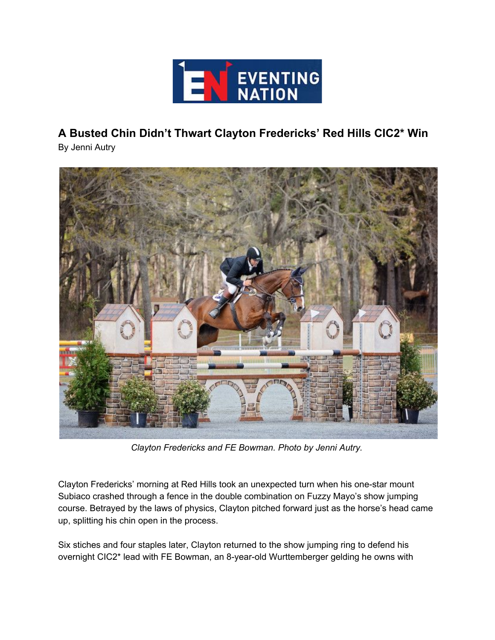

**A Busted Chin Didn't Thwart Clayton Fredericks' Red Hills CIC2\* Win**

By Jenni Autry



*Clayton Fredericks and FE Bowman. Photo by Jenni Autry.*

Clayton Fredericks' morning at Red Hills took an unexpected turn when his one-star mount Subiaco crashed through a fence in the double combination on Fuzzy Mayo's show jumping course. Betrayed by the laws of physics, Clayton pitched forward just as the horse's head came up, splitting his chin open in the process.

Six stiches and four staples later, Clayton returned to the show jumping ring to defend his overnight CIC2\* lead with FE Bowman, an 8-year-old Wurttemberger gelding he owns with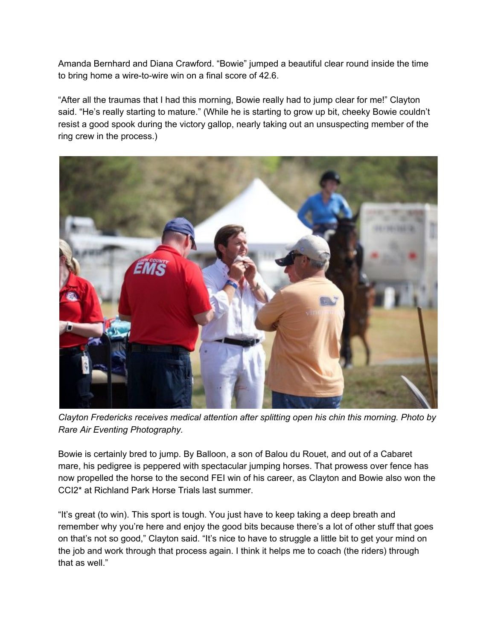Amanda Bernhard and Diana Crawford. "Bowie" jumped a beautiful clear round inside the time to bring home a wire-to-wire win on a final score of 42.6.

"After all the traumas that I had this morning, Bowie really had to jump clear for me!" Clayton said. "He's really starting to mature." (While he is starting to grow up bit, cheeky Bowie couldn't resist a good spook during the victory gallop, nearly taking out an unsuspecting member of the ring crew in the process.)



*Clayton Fredericks receives medical attention after splitting open his chin this morning. Photo by Rare Air Eventing Photography.*

Bowie is certainly bred to jump. By Balloon, a son of Balou du Rouet, and out of a Cabaret mare, his pedigree is peppered with spectacular jumping horses. That prowess over fence has now propelled the horse to the second FEI win of his career, as Clayton and Bowie also won the CCI2\* at Richland Park Horse Trials last summer.

"It's great (to win). This sport is tough. You just have to keep taking a deep breath and remember why you're here and enjoy the good bits because there's a lot of other stuff that goes on that's not so good," Clayton said. "It's nice to have to struggle a little bit to get your mind on the job and work through that process again. I think it helps me to coach (the riders) through that as well."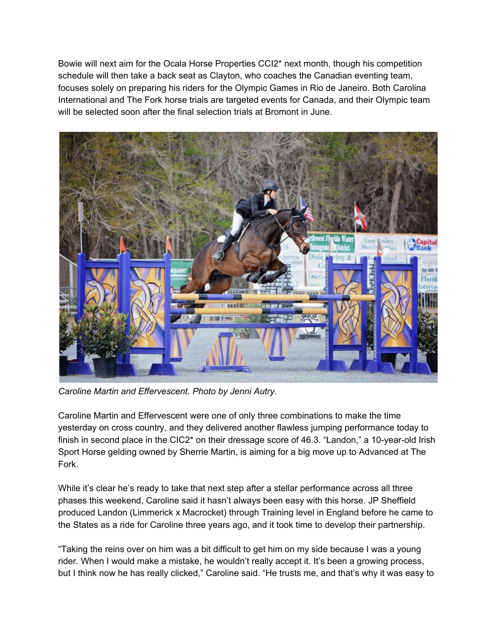Bowie will next aim for the Ocala Horse Properties CCI2\* next month, though his competition schedule will then take a back seat as Clayton, who coaches the Canadian eventing team, focuses solely on preparing his riders for the Olympic Games in Rio de Janeiro. Both Carolina International and The Fork horse trials are targeted events for Canada, and their Olympic team will be selected soon after the final selection trials at Bromont in June.



*Caroline Martin and Effervescent. Photo by Jenni Autry.*

Caroline Martin and Effervescent were one of only three combinations to make the time yesterday on cross country, and they delivered another flawless jumping performance today to finish in second place in the CIC2\* on their dressage score of 46.3. "Landon," a 10-year-old Irish Sport Horse gelding owned by Sherrie Martin, is aiming for a big move up to Advanced at The Fork.

While it's clear he's ready to take that next step after a stellar performance across all three phases this weekend, Caroline said it hasn't always been easy with this horse. JP Sheffield produced Landon (Limmerick x Macrocket) through Training level in England before he came to the States as a ride for Caroline three years ago, and it took time to develop their partnership.

"Taking the reins over on him was a bit difficult to get him on my side because I was a young rider. When I would make a mistake, he wouldn't really accept it. It's been a growing process, but I think now he has really clicked," Caroline said. "He trusts me, and that's why it was easy to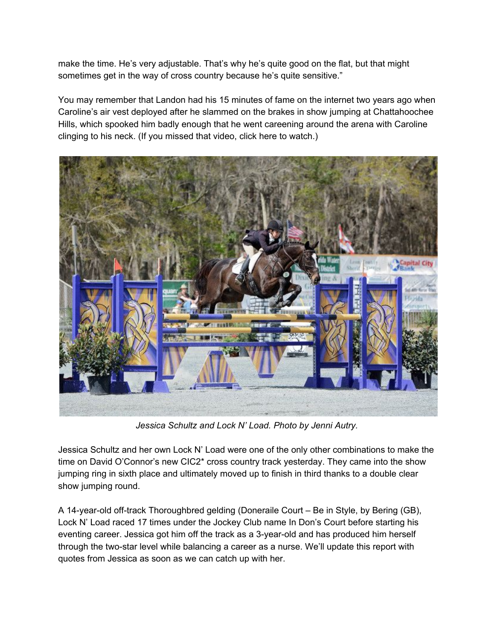make the time. He's very adjustable. That's why he's quite good on the flat, but that might sometimes get in the way of cross country because he's quite sensitive."

You may remember that Landon had his 15 minutes of fame on the internet two years ago when Caroline's air vest deployed after he slammed on the brakes in show jumping at Chattahoochee Hills, which spooked him badly enough that he went careening around the arena with Caroline clinging to his neck. (If you missed that video, click here to watch.)



*Jessica Schultz and Lock N' Load. Photo by Jenni Autry.*

Jessica Schultz and her own Lock N' Load were one of the only other combinations to make the time on David O'Connor's new CIC2\* cross country track yesterday. They came into the show jumping ring in sixth place and ultimately moved up to finish in third thanks to a double clear show jumping round.

A 14-year-old off-track Thoroughbred gelding (Doneraile Court – Be in Style, by Bering (GB), Lock N' Load raced 17 times under the Jockey Club name In Don's Court before starting his eventing career. Jessica got him off the track as a 3-year-old and has produced him herself through the two-star level while balancing a career as a nurse. We'll update this report with quotes from Jessica as soon as we can catch up with her.